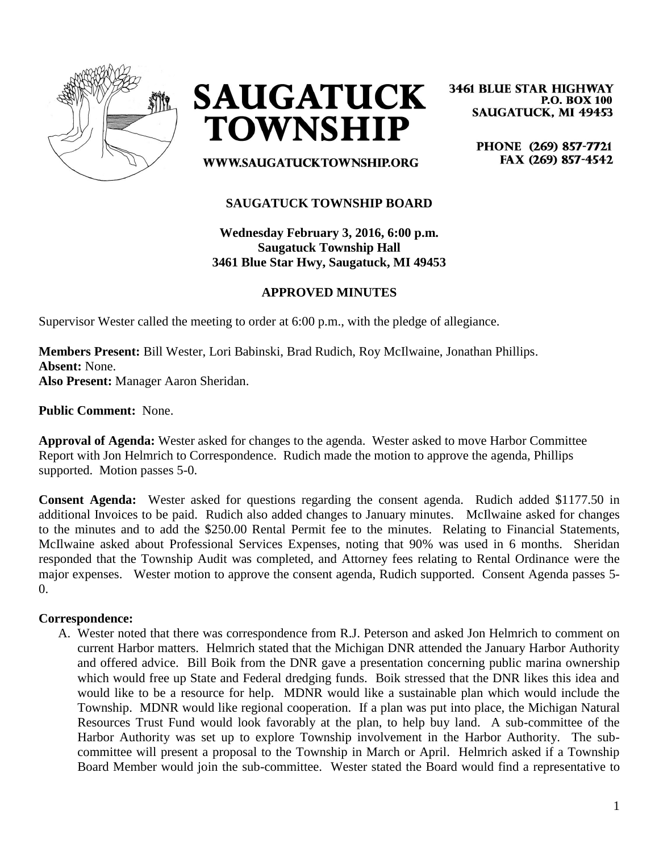



**3461 BLUE STAR HIGHWAY P.O. BOX 100 SAUGATUCK, MI 49453** 

> PHONE (269) 857-7721 FAX (269) 857-4542

WWW.SAUGATUCKTOWNSHIP.ORG

## **SAUGATUCK TOWNSHIP BOARD**

**Wednesday February 3, 2016, 6:00 p.m. Saugatuck Township Hall 3461 Blue Star Hwy, Saugatuck, MI 49453**

## **APPROVED MINUTES**

Supervisor Wester called the meeting to order at 6:00 p.m., with the pledge of allegiance.

**Members Present:** Bill Wester, Lori Babinski, Brad Rudich, Roy McIlwaine, Jonathan Phillips. **Absent:** None.

**Also Present:** Manager Aaron Sheridan.

**Public Comment:** None.

**Approval of Agenda:** Wester asked for changes to the agenda. Wester asked to move Harbor Committee Report with Jon Helmrich to Correspondence. Rudich made the motion to approve the agenda, Phillips supported. Motion passes 5-0.

**Consent Agenda:** Wester asked for questions regarding the consent agenda. Rudich added \$1177.50 in additional Invoices to be paid. Rudich also added changes to January minutes. McIlwaine asked for changes to the minutes and to add the \$250.00 Rental Permit fee to the minutes. Relating to Financial Statements, McIlwaine asked about Professional Services Expenses, noting that 90% was used in 6 months. Sheridan responded that the Township Audit was completed, and Attorney fees relating to Rental Ordinance were the major expenses. Wester motion to approve the consent agenda, Rudich supported. Consent Agenda passes 5-  $\Omega$ .

#### **Correspondence:**

A. Wester noted that there was correspondence from R.J. Peterson and asked Jon Helmrich to comment on current Harbor matters. Helmrich stated that the Michigan DNR attended the January Harbor Authority and offered advice. Bill Boik from the DNR gave a presentation concerning public marina ownership which would free up State and Federal dredging funds. Boik stressed that the DNR likes this idea and would like to be a resource for help. MDNR would like a sustainable plan which would include the Township. MDNR would like regional cooperation. If a plan was put into place, the Michigan Natural Resources Trust Fund would look favorably at the plan, to help buy land. A sub-committee of the Harbor Authority was set up to explore Township involvement in the Harbor Authority. The subcommittee will present a proposal to the Township in March or April. Helmrich asked if a Township Board Member would join the sub-committee. Wester stated the Board would find a representative to